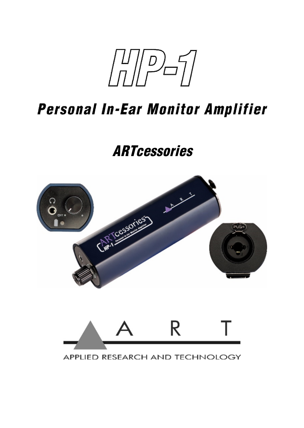$\sqrt{\pi}$ 

# **Personal In-Ear Monitor Amplifier**

# **ARTcessories**





APPLIED RESEARCH AND TECHNOLOGY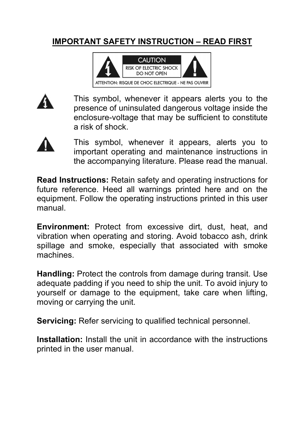#### **IMPORTANT SAFETY INSTRUCTION – READ FIRST**





This symbol, whenever it appears alerts you to the presence of uninsulated dangerous voltage inside the enclosure-voltage that may be sufficient to constitute a risk of shock.



This symbol, whenever it appears, alerts you to important operating and maintenance instructions in the accompanying literature. Please read the manual.

**Read Instructions:** Retain safety and operating instructions for future reference. Heed all warnings printed here and on the equipment. Follow the operating instructions printed in this user manual.

**Environment:** Protect from excessive dirt, dust, heat, and vibration when operating and storing. Avoid tobacco ash, drink spillage and smoke, especially that associated with smoke machines.

**Handling:** Protect the controls from damage during transit. Use adequate padding if you need to ship the unit. To avoid injury to yourself or damage to the equipment, take care when lifting, moving or carrying the unit.

**Servicing:** Refer servicing to qualified technical personnel.

**Installation:** Install the unit in accordance with the instructions printed in the user manual.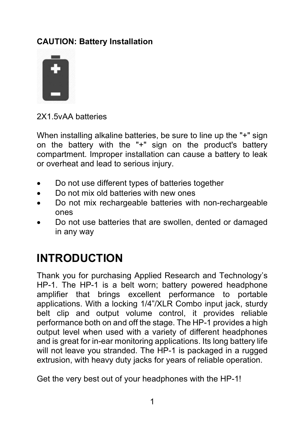#### **CAUTION: Battery Installation**



2X1.5vAA batteries

When installing alkaline batteries, be sure to line up the "+" sign on the battery with the "+" sign on the product's battery compartment. Improper installation can cause a battery to leak or overheat and lead to serious injury.

- Do not use different types of batteries together
- Do not mix old batteries with new ones
- Do not mix rechargeable batteries with non-rechargeable ones
- Do not use batteries that are swollen, dented or damaged in any way

#### **INTRODUCTION**

Thank you for purchasing Applied Research and Technology's HP-1. The HP-1 is a belt worn; battery powered headphone amplifier that brings excellent performance to portable applications. With a locking 1/4"/XLR Combo input jack, sturdy belt clip and output volume control, it provides reliable performance both on and off the stage. The HP-1 provides a high output level when used with a variety of different headphones and is great for in-ear monitoring applications. Its long battery life will not leave you stranded. The HP-1 is packaged in a rugged extrusion, with heavy duty jacks for years of reliable operation.

Get the very best out of your headphones with the HP-1!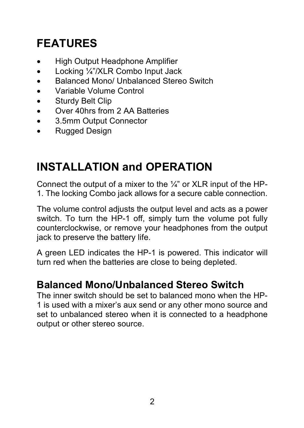# **FEATURES**

- High Output Headphone Amplifier
- Locking 1/4"/XLR Combo Input Jack
- Balanced Mono/ Unbalanced Stereo Switch
- Variable Volume Control
- **•** Sturdy Belt Clip
- Over 40hrs from 2 AA Batteries
- 3.5mm Output Connector
- Rugged Design

# **INSTALLATION and OPERATION**

Connect the output of a mixer to the ¼" or XLR input of the HP-1. The locking Combo jack allows for a secure cable connection.

The volume control adjusts the output level and acts as a power switch. To turn the HP-1 off, simply turn the volume pot fully counterclockwise, or remove your headphones from the output jack to preserve the battery life.

A green LED indicates the HP-1 is powered. This indicator will turn red when the batteries are close to being depleted.

#### **Balanced Mono/Unbalanced Stereo Switch**

The inner switch should be set to balanced mono when the HP-1 is used with a mixer's aux send or any other mono source and set to unbalanced stereo when it is connected to a headphone output or other stereo source.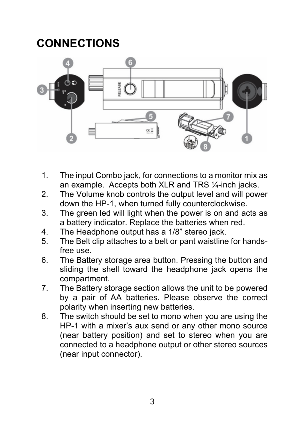### **CONNECTIONS**



- 1. The input Combo jack, for connections to a monitor mix as an example. Accepts both XLR and TRS ¼-inch jacks.
- 2. The Volume knob controls the output level and will power down the HP-1, when turned fully counterclockwise.
- 3. The green led will light when the power is on and acts as a battery indicator. Replace the batteries when red.
- 4. The Headphone output has a 1/8" stereo jack.
- 5. The Belt clip attaches to a belt or pant waistline for handsfree use.
- 6. The Battery storage area button. Pressing the button and sliding the shell toward the headphone jack opens the compartment.
- 7. The Battery storage section allows the unit to be powered by a pair of AA batteries. Please observe the correct polarity when inserting new batteries.
- 8. The switch should be set to mono when you are using the HP-1 with a mixer's aux send or any other mono source (near battery position) and set to stereo when you are connected to a headphone output or other stereo sources (near input connector).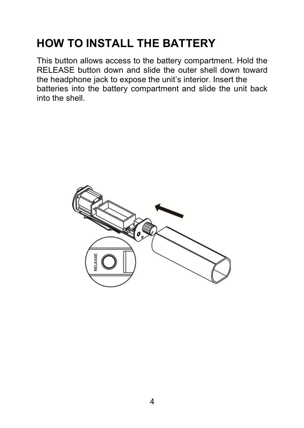## **HOW TO INSTALL THE BATTERY**

This button allows access to the battery compartment. Hold the RELEASE button down and slide the outer shell down toward the headphone jack to expose the unit's interior. Insert the batteries into the battery compartment and slide the unit back into the shell.

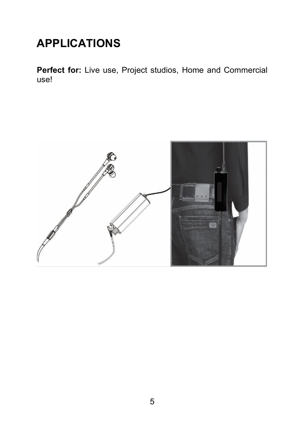### **APPLICATIONS**

**Perfect for:** Live use, Project studios, Home and Commercial use!

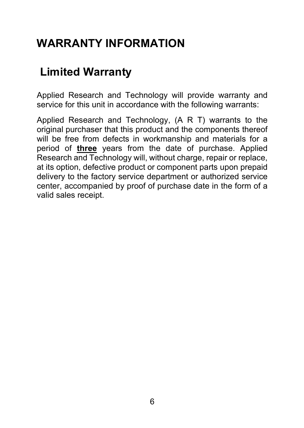#### **WARRANTY INFORMATION**

#### **Limited Warranty**

Applied Research and Technology will provide warranty and service for this unit in accordance with the following warrants:

Applied Research and Technology, (A R T) warrants to the original purchaser that this product and the components thereof will be free from defects in workmanship and materials for a period of **three** years from the date of purchase. Applied Research and Technology will, without charge, repair or replace, at its option, defective product or component parts upon prepaid delivery to the factory service department or authorized service center, accompanied by proof of purchase date in the form of a valid sales receipt.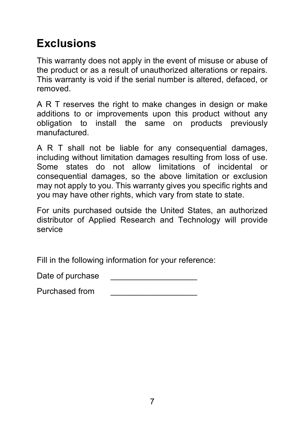### **Exclusions**

This warranty does not apply in the event of misuse or abuse of the product or as a result of unauthorized alterations or repairs. This warranty is void if the serial number is altered, defaced, or removed.

A R T reserves the right to make changes in design or make additions to or improvements upon this product without any obligation to install the same on products previously manufactured.

A R T shall not be liable for any consequential damages, including without limitation damages resulting from loss of use. Some states do not allow limitations of incidental or consequential damages, so the above limitation or exclusion may not apply to you. This warranty gives you specific rights and you may have other rights, which vary from state to state.

For units purchased outside the United States, an authorized distributor of Applied Research and Technology will provide service

Fill in the following information for your reference:

Date of purchase

Purchased from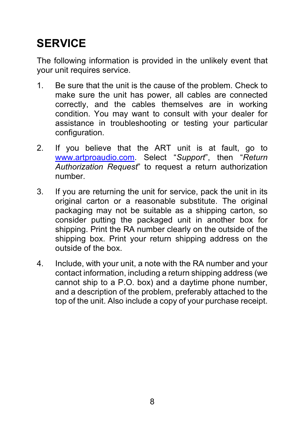# **SERVICE**

The following information is provided in the unlikely event that your unit requires service.

- 1. Be sure that the unit is the cause of the problem. Check to make sure the unit has power, all cables are connected correctly, and the cables themselves are in working condition. You may want to consult with your dealer for assistance in troubleshooting or testing your particular configuration.
- 2. If you believe that the ART unit is at fault, go to [www.artproaudio.com.](http://www.artproaudio.com/) Select "*Support*", then "*Return Authorization Request*" to request a return authorization number.
- 3. If you are returning the unit for service, pack the unit in its original carton or a reasonable substitute. The original packaging may not be suitable as a shipping carton, so consider putting the packaged unit in another box for shipping. Print the RA number clearly on the outside of the shipping box. Print your return shipping address on the outside of the box.
- 4. Include, with your unit, a note with the RA number and your contact information, including a return shipping address (we cannot ship to a P.O. box) and a daytime phone number, and a description of the problem, preferably attached to the top of the unit. Also include a copy of your purchase receipt.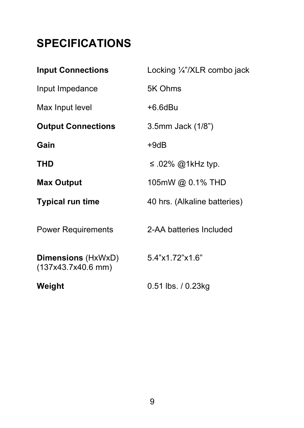## **SPECIFICATIONS**

| <b>Input Connections</b>                        | Locking 1/4"/XLR combo jack  |
|-------------------------------------------------|------------------------------|
| Input Impedance                                 | 5K Ohms                      |
| Max Input level                                 | $+6.6$ dBu                   |
| <b>Output Connections</b>                       | 3.5mm Jack (1/8")            |
| Gain                                            | $+9dB$                       |
| THD                                             | ≤ .02% @1kHz typ.            |
| <b>Max Output</b>                               | 105mW @ 0.1% THD             |
| <b>Typical run time</b>                         | 40 hrs. (Alkaline batteries) |
| <b>Power Requirements</b>                       | 2-AA batteries Included      |
| <b>Dimensions</b> (HxWxD)<br>(137x43.7x40.6 mm) | 5.4"x1.72"x1.6"              |
| Weight                                          | $0.51$ lbs. $/ 0.23$ kg      |